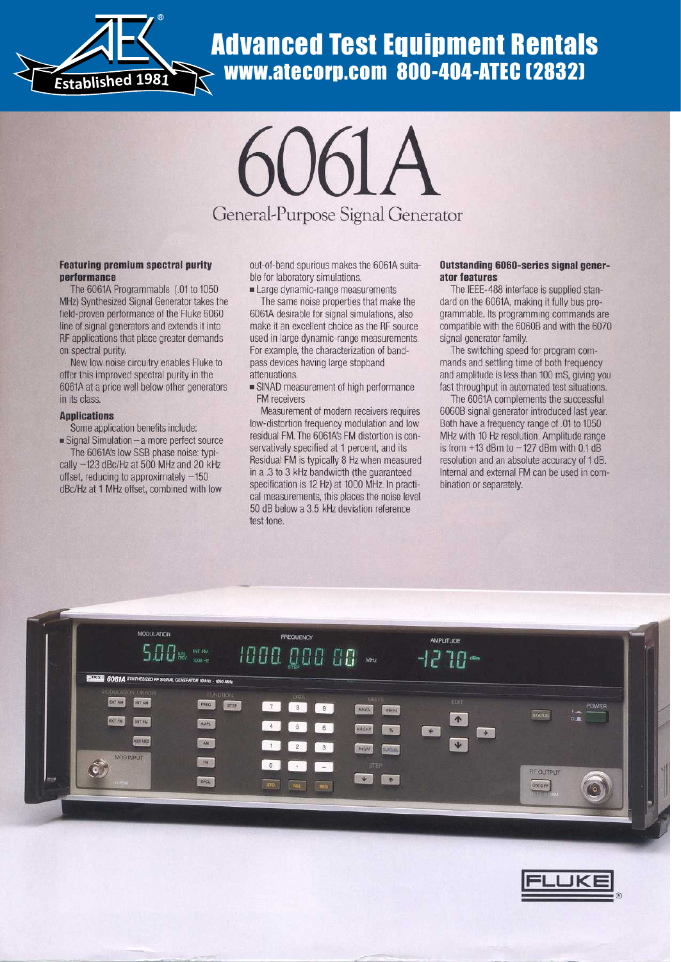

# www.atecorp.com 800-404-ATEC (2832)



#### Featuring premium spectral purity performance

The 6061A Programmable (.01 to 1050 MHz) Synthesized Signal Generator takes the field-proven performance of the Fluke 6060 line of signal generators and extends it into RF applications that place greater demands on spectral purity.

New low noise circuitry enables Fluke to offer this improved spectral purity in the 6061A at a price well below other generators in its class.

#### Applications

Some application benefits include : ■ Signal Simulation-a more perfect source

The 6061A's low SSB phase noise: typically  $-123$  dBc/Hz at 500 MHz and 20 kHz offset, reducing to approximately  $-150$ dBc/Hz at 1 MHz offset, combined with low out-of-band spurious makes the 6061A suitable for laboratory simulations.

• Large dynamic-range measurements

The same noise properties that make the 6061A desirable for signal simulations, also make it an excellent choice as the RF source used in large dynamic-range measurements. For example, the characterization of bandpass devices having large stopband attenuations.

• SINAD measurement of high performance FM receivers

Measurement of modern receivers requires low-distortion frequency modulation and low residual FM . The 6061A's FM distortion is conservatively specified at 1 percent, and its Residual FM is typically 8 Hz when measured in a .3 to 3 kHz bandwidth (the guaranteed specification is 12 Hz) at 1000 MHz. In practical measurements, this places the noise level 50 dB below a 3.5 kHz deviation reference test tone.

#### Outstanding 6060-series signal generator features

The IEEE-488 interface is supplied standard on the 6061A, making it fully bus programmable. Its programming commands are compatible with the 6060B and with the 6070 signal generator family.

The switching speed for program commands and settling time of both frequency and amplitude is less than 100 mS, giving you fast throughput in automated test situations.

The 6061A complements the successful 6060B signal generator introduced last year. Both have a frequency range of .01 to 1050 MHz with 10 Hz resolution. Amplitude range is from  $+13$  dBm to  $-127$  dBm with 0.1 dB resolution and an absolute accuracy of 1 dB. Internal and external FM can be used in combination or separately.